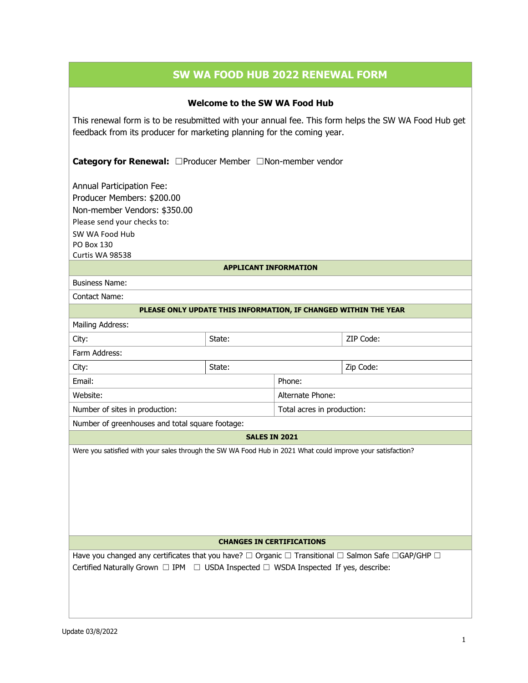# **SW WA FOOD HUB 2022 RENEWAL FORM**

## **Welcome to the SW WA Food Hub**

This renewal form is to be resubmitted with your annual fee. This form helps the SW WA Food Hub get feedback from its producer for marketing planning for the coming year.

**Category for Renewal:** ☐Producer Member ☐Non-member vendor

Annual Participation Fee: Producer Members: \$200.00 Non-member Vendors: \$350.00 Please send your checks to: SW WA Food Hub PO Box 130 Curtis WA 98538

#### **APPLICANT INFORMATION**

Business Name:

Contact Name:

#### **PLEASE ONLY UPDATE THIS INFORMATION, IF CHANGED WITHIN THE YEAR**

| Mailing Address:               |        |                            |           |
|--------------------------------|--------|----------------------------|-----------|
| City:                          | State: |                            | ZIP Code: |
| Farm Address:                  |        |                            |           |
| City:                          | State: |                            | Zip Code: |
| Email:                         |        | Phone:                     |           |
| Website:                       |        | Alternate Phone:           |           |
| Number of sites in production: |        | Total acres in production: |           |

Number of greenhouses and total square footage:

### **SALES IN 2021**

Were you satisfied with your sales through the SW WA Food Hub in 2021 What could improve your satisfaction?

#### **CHANGES IN CERTIFICATIONS**

Have you changed any certificates that you have? □ Organic □ Transitional □ Salmon Safe □GAP/GHP □ Certified Naturally Grown □ IPM □ USDA Inspected □ WSDA Inspected If yes, describe: